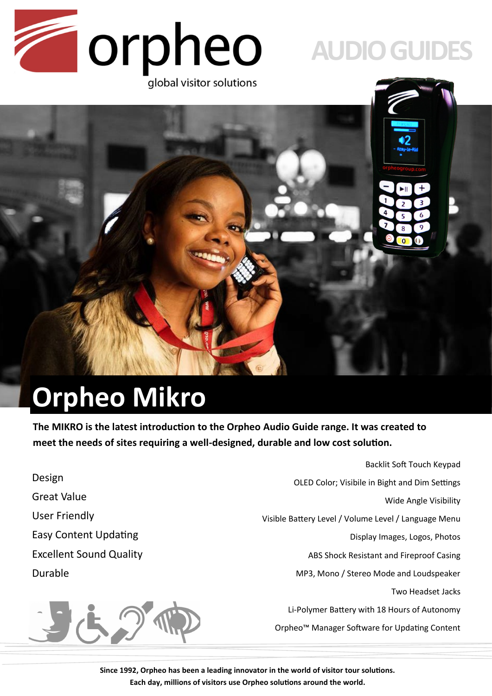

# **AUDIO GUIDES**



# **Orpheo Mikro**

**The MIKRO is the latest introduction to the Orpheo Audio Guide range. It was created to meet the needs of sites requiring a well-designed, durable and low cost solution.**

Backlit Soft Touch Keypad Design OLED Color; Visibile in Bight and Dim Settings Great Value Wide Angle Visibility User Friendly Visible Battery Level / Volume Level / Language Menu Easy Content Updating Display Images, Logos, Photos Excellent Sound Quality ABS Shock Resistant and Fireproof Casing Durable MP3, Mono / Stereo Mode and Loudspeaker Two Headset Jacks JES Li-Polymer Battery with 18 Hours of Autonomy Orpheo™ Manager Software for Updating Content

> **Since 1992, Orpheo has been a leading innovator in the world of visitor tour solutions. Each day, millions of visitors use Orpheo solutions around the world.**